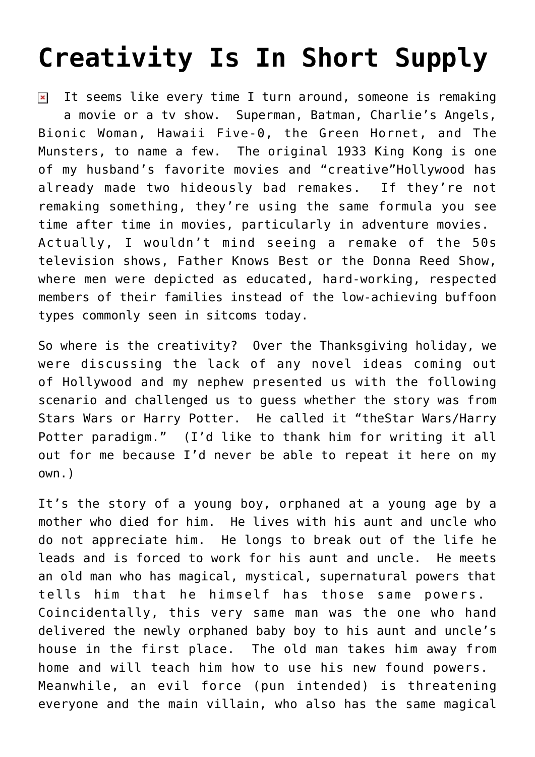## **[Creativity Is In Short Supply](https://bernardgoldberg.com/creativity-is-in-short-supply/)**

It seems like every time I turn around, someone is remaking  $\pmb{\times}$ a movie or a tv show. Superman, Batman, Charlie's Angels, Bionic Woman, Hawaii Five-0, the Green Hornet, and The Munsters, to name a few. The original 1933 King Kong is one of my husband's favorite movies and "creative"Hollywood has already made two hideously bad remakes. If they're not remaking something, they're using the same formula you see time after time in movies, particularly in adventure movies. Actually, I wouldn't mind seeing a remake of the 50s television shows, Father Knows Best or the Donna Reed Show, where men were depicted as educated, hard-working, respected members of their families instead of the low-achieving buffoon types commonly seen in sitcoms today.

So where is the creativity? Over the Thanksgiving holiday, we were discussing the lack of any novel ideas coming out of Hollywood and my nephew presented us with the following scenario and challenged us to guess whether the story was from Stars Wars or Harry Potter. He called it "theStar Wars/Harry Potter paradigm." (I'd like to thank him for writing it all out for me because I'd never be able to repeat it here on my own.)

It's the story of a young boy, orphaned at a young age by a mother who died for him. He lives with his aunt and uncle who do not appreciate him. He longs to break out of the life he leads and is forced to work for his aunt and uncle. He meets an old man who has magical, mystical, supernatural powers that tells him that he himself has those same powers. Coincidentally, this very same man was the one who hand delivered the newly orphaned baby boy to his aunt and uncle's house in the first place. The old man takes him away from home and will teach him how to use his new found powers. Meanwhile, an evil force (pun intended) is threatening everyone and the main villain, who also has the same magical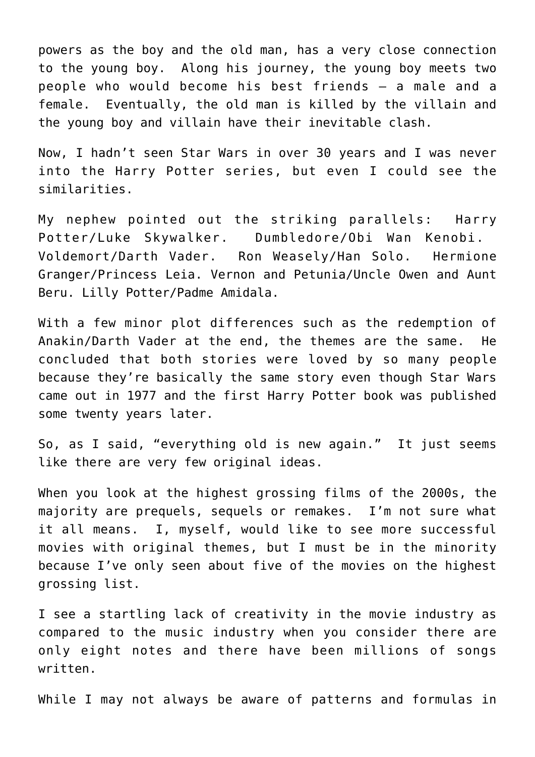powers as the boy and the old man, has a very close connection to the young boy. Along his journey, the young boy meets two people who would become his best friends – a male and a female. Eventually, the old man is killed by the villain and the young boy and villain have their inevitable clash.

Now, I hadn't seen Star Wars in over 30 years and I was never into the Harry Potter series, but even I could see the similarities.

My nephew pointed out the striking parallels: Harry Potter/Luke Skywalker. Dumbledore/Obi Wan Kenobi. Voldemort/Darth Vader. Ron Weasely/Han Solo. Hermione Granger/Princess Leia. Vernon and Petunia/Uncle Owen and Aunt Beru. Lilly Potter/Padme Amidala.

With a few minor plot differences such as the redemption of Anakin/Darth Vader at the end, the themes are the same. He concluded that both stories were loved by so many people because they're basically the same story even though Star Wars came out in 1977 and the first Harry Potter book was published some twenty years later.

So, as I said, "everything old is new again." It just seems like there are very few original ideas.

When you look at the highest grossing [films](http://www.filmgo.net/BoxOfficePredictions/tabid/138/EntryId/289/The-Top-25-Highest-Grossing-Films-of-the-Decade-2000-2009.aspx) of the 2000s, the majority are prequels, sequels or remakes. I'm not sure what it all means. I, myself, would like to see more successful movies with original themes, but I must be in the minority because I've only seen about five of the movies on the highest grossing list.

I see a startling lack of creativity in the movie industry as compared to the music industry when you consider there are only eight notes and there have been millions of songs written.

While I may not always be aware of patterns and formulas in